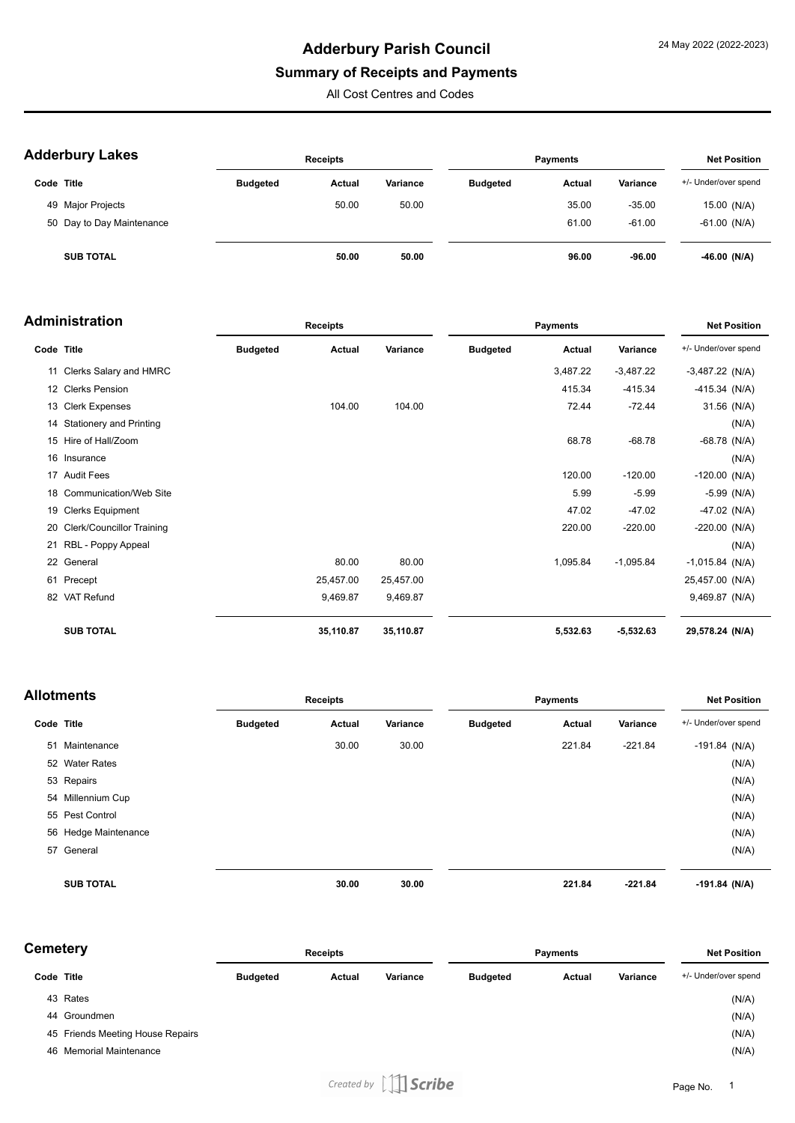# **Adderbury Parish Council**

# **Summary of Receipts and Payments**

All Cost Centres and Codes

| <b>Adderbury Lakes</b> |  |
|------------------------|--|
|------------------------|--|

| AUUUI VUI Y LANUS         |                 | <b>Receipts</b> |          |                 | <b>Payments</b> |          |                      |
|---------------------------|-----------------|-----------------|----------|-----------------|-----------------|----------|----------------------|
| Code Title                | <b>Budgeted</b> | <b>Actual</b>   | Variance | <b>Budgeted</b> | <b>Actual</b>   | Variance | +/- Under/over spend |
| 49 Major Projects         |                 | 50.00           | 50.00    |                 | 35.00           | $-35.00$ | 15.00 (N/A)          |
| 50 Day to Day Maintenance |                 |                 |          |                 | 61.00           | $-61.00$ | $-61.00$ (N/A)       |
| <b>SUB TOTAL</b>          |                 | 50.00           | 50.00    |                 | 96.00           | $-96.00$ | $-46.00$ (N/A)       |

#### **Administration**

| Code Title<br>11  | Clerks Salary and HMRC<br>12 Clerks Pension | <b>Budgeted</b> | <b>Actual</b> | Variance  | <b>Budgeted</b> | Actual   | Variance    | +/- Under/over spend |
|-------------------|---------------------------------------------|-----------------|---------------|-----------|-----------------|----------|-------------|----------------------|
|                   |                                             |                 |               |           |                 |          |             |                      |
|                   |                                             |                 |               |           |                 | 3,487.22 | $-3,487.22$ | $-3,487.22$ (N/A)    |
|                   |                                             |                 |               |           |                 | 415.34   | $-415.34$   | $-415.34$ (N/A)      |
| 13 Clerk Expenses |                                             |                 | 104.00        | 104.00    |                 | 72.44    | $-72.44$    | 31.56 (N/A)          |
|                   | 14 Stationery and Printing                  |                 |               |           |                 |          |             | (N/A)                |
|                   | 15 Hire of Hall/Zoom                        |                 |               |           |                 | 68.78    | $-68.78$    | $-68.78$ (N/A)       |
| 16 Insurance      |                                             |                 |               |           |                 |          |             | (N/A)                |
| 17 Audit Fees     |                                             |                 |               |           |                 | 120.00   | $-120.00$   | $-120.00$ (N/A)      |
|                   | 18 Communication/Web Site                   |                 |               |           |                 | 5.99     | $-5.99$     | $-5.99$ (N/A)        |
|                   | 19 Clerks Equipment                         |                 |               |           |                 | 47.02    | $-47.02$    | $-47.02$ (N/A)       |
|                   | 20 Clerk/Councillor Training                |                 |               |           |                 | 220.00   | $-220.00$   | $-220.00$ (N/A)      |
|                   | 21 RBL - Poppy Appeal                       |                 |               |           |                 |          |             | (N/A)                |
| 22 General        |                                             |                 | 80.00         | 80.00     |                 | 1,095.84 | $-1,095.84$ | $-1,015.84$ (N/A)    |
| 61 Precept        |                                             |                 | 25,457.00     | 25,457.00 |                 |          |             | 25,457.00 (N/A)      |
|                   | 82 VAT Refund                               |                 | 9,469.87      | 9,469.87  |                 |          |             | 9,469.87 (N/A)       |
|                   | <b>SUB TOTAL</b>                            |                 | 35,110.87     | 35,110.87 |                 | 5,532.63 | $-5,532.63$ | 29,578.24 (N/A)      |

### **Allotments**

| Allotments           |                 | Receipts |          |                 | <b>Payments</b> |           | <b>Net Position</b>  |
|----------------------|-----------------|----------|----------|-----------------|-----------------|-----------|----------------------|
| Code Title           | <b>Budgeted</b> | Actual   | Variance | <b>Budgeted</b> | Actual          | Variance  | +/- Under/over spend |
| 51 Maintenance       |                 | 30.00    | 30.00    |                 | 221.84          | $-221.84$ | $-191.84$ (N/A)      |
| 52 Water Rates       |                 |          |          |                 |                 |           | (N/A)                |
| 53 Repairs           |                 |          |          |                 |                 |           | (N/A)                |
| 54 Millennium Cup    |                 |          |          |                 |                 |           | (N/A)                |
| 55 Pest Control      |                 |          |          |                 |                 |           | (N/A)                |
| 56 Hedge Maintenance |                 |          |          |                 |                 |           | (N/A)                |
| 57 General           |                 |          |          |                 |                 |           | (N/A)                |
|                      |                 |          |          |                 |                 |           |                      |
| <b>SUB TOTAL</b>     |                 | 30.00    | 30.00    |                 | 221.84          | $-221.84$ | $-191.84$ (N/A)      |
|                      |                 |          |          |                 |                 |           |                      |

| <b>Cemetery</b> |                                  | <b>Receipts</b> |        |                      | <b>Payments</b> |        |          | <b>Net Position</b>  |  |
|-----------------|----------------------------------|-----------------|--------|----------------------|-----------------|--------|----------|----------------------|--|
| Code Title      |                                  | <b>Budgeted</b> | Actual | Variance             | <b>Budgeted</b> | Actual | Variance | +/- Under/over spend |  |
|                 | 43 Rates                         |                 |        |                      |                 |        |          | (N/A)                |  |
|                 | 44 Groundmen                     |                 |        |                      |                 |        |          | (N/A)                |  |
|                 | 45 Friends Meeting House Repairs |                 |        |                      |                 |        |          | (N/A)                |  |
|                 | 46 Memorial Maintenance          |                 |        |                      |                 |        |          | (N/A)                |  |
|                 |                                  |                 |        | $\sim$ $\sim$ $\sim$ |                 |        |          |                      |  |

 $\overline{\phantom{0}}$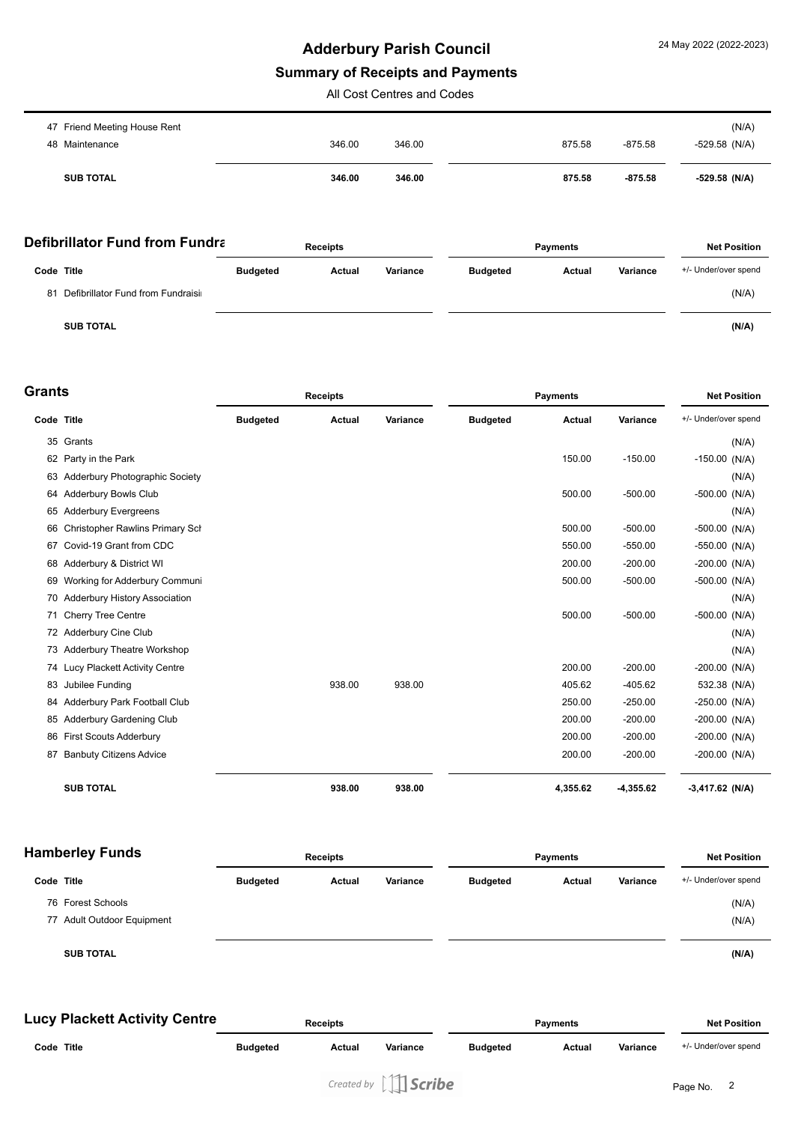### **Adderbury Parish Council**

### **Summary of Receipts and Payments**

All Cost Centres and Codes

| 47 Friend Meeting House Rent |        |        |        |           | (N/A)           |
|------------------------------|--------|--------|--------|-----------|-----------------|
| 48 Maintenance               | 346.00 | 346.00 | 875.58 | $-875.58$ | $-529.58$ (N/A) |
|                              |        |        |        |           |                 |
| <b>SUB TOTAL</b>             | 346.00 | 346.00 | 875.58 | $-875.58$ | -529.58 (N/A)   |

| <b>Defibrillator Fund from Fundra</b>   | <b>Receipts</b> |        |          | <b>Payments</b> |               |          | <b>Net Position</b>  |  |
|-----------------------------------------|-----------------|--------|----------|-----------------|---------------|----------|----------------------|--|
| Code Title                              | <b>Budgeted</b> | Actual | Variance | <b>Budgeted</b> | <b>Actual</b> | Variance | +/- Under/over spend |  |
| Defibrillator Fund from Fundraisi<br>81 |                 |        |          |                 |               |          | (N/A)                |  |
| <b>SUB TOTAL</b>                        |                 |        |          |                 |               |          | (N/A)                |  |

| anı<br> |  |
|---------|--|
|---------|--|

| յrants     |                                        |                 | <b>Receipts</b> |          |                 | <b>Payments</b> |             | <b>Net Position</b>  |
|------------|----------------------------------------|-----------------|-----------------|----------|-----------------|-----------------|-------------|----------------------|
| Code Title |                                        | <b>Budgeted</b> | Actual          | Variance | <b>Budgeted</b> | <b>Actual</b>   | Variance    | +/- Under/over spend |
|            | 35 Grants                              |                 |                 |          |                 |                 |             | (N/A)                |
|            | 62 Party in the Park                   |                 |                 |          |                 | 150.00          | $-150.00$   | $-150.00$ (N/A)      |
| 63         | Adderbury Photographic Society         |                 |                 |          |                 |                 |             | (N/A)                |
| 64         | <b>Adderbury Bowls Club</b>            |                 |                 |          |                 | 500.00          | $-500.00$   | $-500.00$ (N/A)      |
| 65         | <b>Adderbury Evergreens</b>            |                 |                 |          |                 |                 |             | (N/A)                |
| 66         | <b>Christopher Rawlins Primary Sch</b> |                 |                 |          |                 | 500.00          | $-500.00$   | $-500.00$ (N/A)      |
| 67         | Covid-19 Grant from CDC                |                 |                 |          |                 | 550.00          | $-550.00$   | $-550.00$ (N/A)      |
| 68         | Adderbury & District WI                |                 |                 |          |                 | 200.00          | $-200.00$   | $-200.00$ (N/A)      |
| 69         | Working for Adderbury Communi          |                 |                 |          |                 | 500.00          | $-500.00$   | $-500.00$ (N/A)      |
| 70         | <b>Adderbury History Association</b>   |                 |                 |          |                 |                 |             | (N/A)                |
| 71         | <b>Cherry Tree Centre</b>              |                 |                 |          |                 | 500.00          | $-500.00$   | $-500.00$ (N/A)      |
|            | 72 Adderbury Cine Club                 |                 |                 |          |                 |                 |             | (N/A)                |
| 73         | Adderbury Theatre Workshop             |                 |                 |          |                 |                 |             | (N/A)                |
|            | 74 Lucy Plackett Activity Centre       |                 |                 |          |                 | 200.00          | $-200.00$   | $-200.00$ (N/A)      |
| 83         | Jubilee Funding                        |                 | 938.00          | 938.00   |                 | 405.62          | $-405.62$   | 532.38 (N/A)         |
| 84         | Adderbury Park Football Club           |                 |                 |          |                 | 250.00          | $-250.00$   | $-250.00$ (N/A)      |
| 85         | Adderbury Gardening Club               |                 |                 |          |                 | 200.00          | $-200.00$   | $-200.00$ (N/A)      |
| 86         | <b>First Scouts Adderbury</b>          |                 |                 |          |                 | 200.00          | $-200.00$   | $-200.00$ (N/A)      |
| 87         | <b>Banbuty Citizens Advice</b>         |                 |                 |          |                 | 200.00          | $-200.00$   | $-200.00$ (N/A)      |
|            | <b>SUB TOTAL</b>                       |                 | 938.00          | 938.00   |                 | 4,355.62        | $-4,355.62$ | $-3,417.62$ (N/A)    |

**Hamberley Funds Code Title Budgeted Actual Variance Receipts Payments Budgeted Actual Variance Net Position** +/- Under/over spend 76 Forest Schools (N/A) 77 Adult Outdoor Equipment (N/A) **SUB TOTAL (N/A) Lucy Plackett Activity Centre Code Title Budgeted Actual Variance Receipts Payments Budgeted Actual Variance Net Position** +/- Under/over spend

> $\mathbb I$ Scribe Created by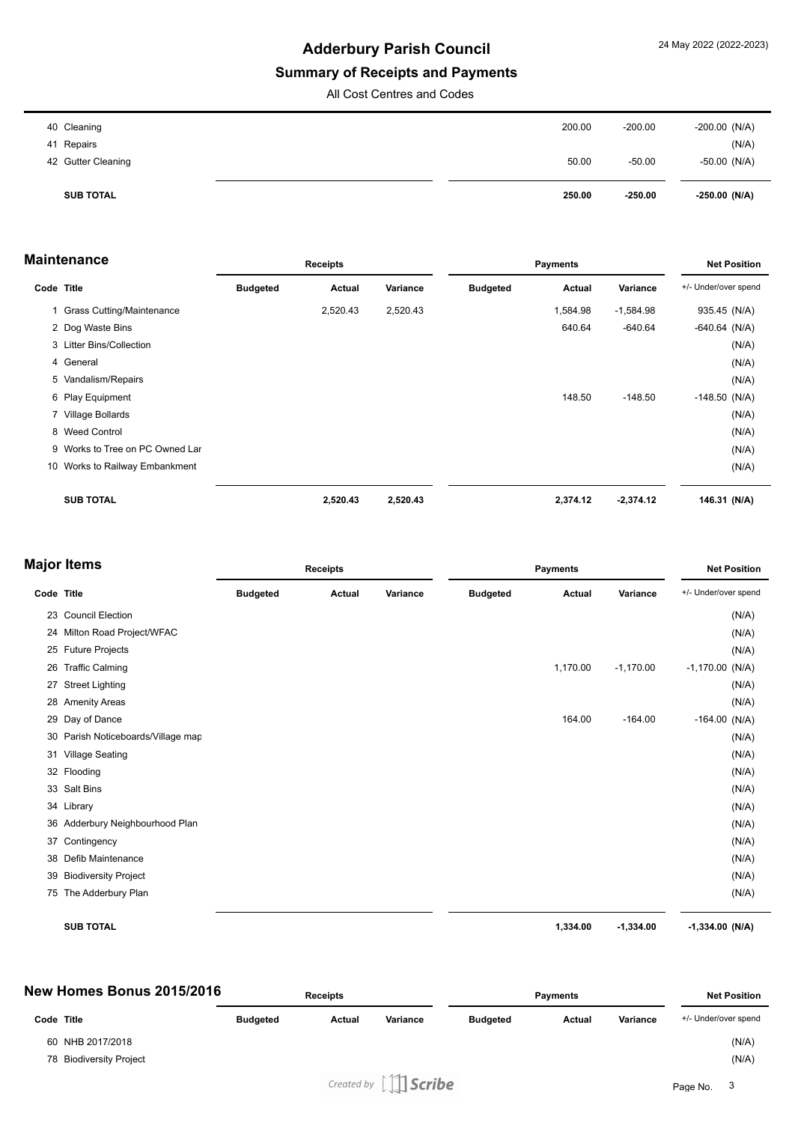# **Adderbury Parish Council**

# **Summary of Receipts and Payments**

All Cost Centres and Codes

| 41 Repairs<br>42 Gutter Cleaning | 50.00  | $-50.00$  | (N/A)<br>$-50.00$ (N/A) |
|----------------------------------|--------|-----------|-------------------------|
| <b>SUB TOTAL</b>                 | 250.00 | $-250.00$ | $-250.00$ (N/A)         |

|            | <b>Maintenance</b>              | <b>Receipts</b> |          |          | <b>Payments</b> |          |             | <b>Net Position</b>  |  |
|------------|---------------------------------|-----------------|----------|----------|-----------------|----------|-------------|----------------------|--|
| Code Title |                                 | <b>Budgeted</b> | Actual   | Variance | <b>Budgeted</b> | Actual   | Variance    | +/- Under/over spend |  |
|            | 1 Grass Cutting/Maintenance     |                 | 2,520.43 | 2,520.43 |                 | 1,584.98 | $-1,584.98$ | 935.45 (N/A)         |  |
|            | 2 Dog Waste Bins                |                 |          |          |                 | 640.64   | $-640.64$   | $-640.64$ (N/A)      |  |
|            | 3 Litter Bins/Collection        |                 |          |          |                 |          |             | (N/A)                |  |
|            | 4 General                       |                 |          |          |                 |          |             | (N/A)                |  |
|            | 5 Vandalism/Repairs             |                 |          |          |                 |          |             | (N/A)                |  |
|            | 6 Play Equipment                |                 |          |          |                 | 148.50   | $-148.50$   | $-148.50$ (N/A)      |  |
|            | 7 Village Bollards              |                 |          |          |                 |          |             | (N/A)                |  |
|            | 8 Weed Control                  |                 |          |          |                 |          |             | (N/A)                |  |
|            | 9 Works to Tree on PC Owned Lar |                 |          |          |                 |          |             | (N/A)                |  |
|            | 10 Works to Railway Embankment  |                 |          |          |                 |          |             | (N/A)                |  |
|            | <b>SUB TOTAL</b>                |                 | 2,520.43 | 2,520.43 |                 | 2,374.12 | $-2,374.12$ | 146.31 (N/A)         |  |

|            | Major Items                        |                 | <b>Receipts</b> |          |                 | <b>Payments</b> |             |                      |
|------------|------------------------------------|-----------------|-----------------|----------|-----------------|-----------------|-------------|----------------------|
| Code Title |                                    | <b>Budgeted</b> | Actual          | Variance | <b>Budgeted</b> | Actual          | Variance    | +/- Under/over spend |
|            | 23 Council Election                |                 |                 |          |                 |                 |             | (N/A)                |
|            | 24 Milton Road Project/WFAC        |                 |                 |          |                 |                 |             | (N/A)                |
|            | 25 Future Projects                 |                 |                 |          |                 |                 |             | (N/A)                |
| 26         | <b>Traffic Calming</b>             |                 |                 |          |                 | 1,170.00        | $-1,170.00$ | $-1,170.00$ (N/A)    |
|            | 27 Street Lighting                 |                 |                 |          |                 |                 |             | (N/A)                |
|            | 28 Amenity Areas                   |                 |                 |          |                 |                 |             | (N/A)                |
|            | 29 Day of Dance                    |                 |                 |          |                 | 164.00          | $-164.00$   | $-164.00$ (N/A)      |
|            | 30 Parish Noticeboards/Village map |                 |                 |          |                 |                 |             | (N/A)                |
|            | 31 Village Seating                 |                 |                 |          |                 |                 |             | (N/A)                |
|            | 32 Flooding                        |                 |                 |          |                 |                 |             | (N/A)                |
|            | 33 Salt Bins                       |                 |                 |          |                 |                 |             | (N/A)                |
|            | 34 Library                         |                 |                 |          |                 |                 |             | (N/A)                |
|            | 36 Adderbury Neighbourhood Plan    |                 |                 |          |                 |                 |             | (N/A)                |
| 37         | Contingency                        |                 |                 |          |                 |                 |             | (N/A)                |
| 38         | Defib Maintenance                  |                 |                 |          |                 |                 |             | (N/A)                |
| 39         | <b>Biodiversity Project</b>        |                 |                 |          |                 |                 |             | (N/A)                |
|            | 75 The Adderbury Plan              |                 |                 |          |                 |                 |             | (N/A)                |
|            | <b>SUB TOTAL</b>                   |                 |                 |          |                 | 1,334.00        | $-1,334.00$ | $-1,334.00$ (N/A)    |

| New Homes Bonus 2015/2016 | <b>Receipts</b> |        |                                                                | Payments        |               |          | <b>Net Position</b>  |       |
|---------------------------|-----------------|--------|----------------------------------------------------------------|-----------------|---------------|----------|----------------------|-------|
| Code Title                | <b>Budgeted</b> | Actual | Variance                                                       | <b>Budgeted</b> | <b>Actual</b> | Variance | +/- Under/over spend |       |
| 60 NHB 2017/2018          |                 |        |                                                                |                 |               |          |                      | (N/A) |
| 78 Biodiversity Project   |                 |        |                                                                |                 |               |          |                      | (N/A) |
|                           |                 |        | Created by $\left[\begin{array}{c c}\end{array}\right]$ Scribe |                 |               |          | Page No. 3           |       |